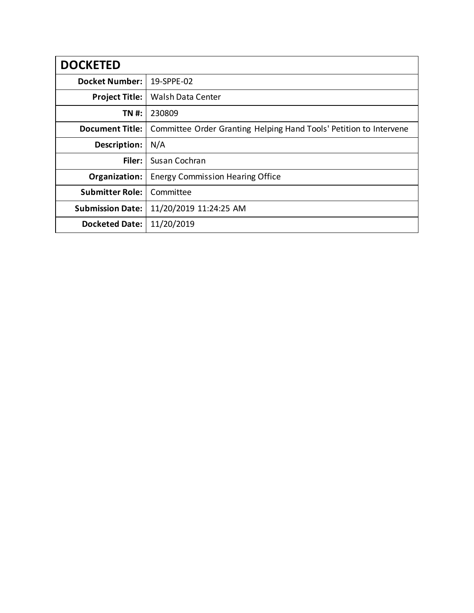| <b>DOCKETED</b>         |                                                                    |
|-------------------------|--------------------------------------------------------------------|
| <b>Docket Number:</b>   | 19-SPPE-02                                                         |
| <b>Project Title:</b>   | Walsh Data Center                                                  |
| TN #:                   | 230809                                                             |
| <b>Document Title:</b>  | Committee Order Granting Helping Hand Tools' Petition to Intervene |
| Description:            | N/A                                                                |
| Filer:                  | Susan Cochran                                                      |
| Organization:           | <b>Energy Commission Hearing Office</b>                            |
| <b>Submitter Role:</b>  | Committee                                                          |
| <b>Submission Date:</b> | 11/20/2019 11:24:25 AM                                             |
| <b>Docketed Date:</b>   | 11/20/2019                                                         |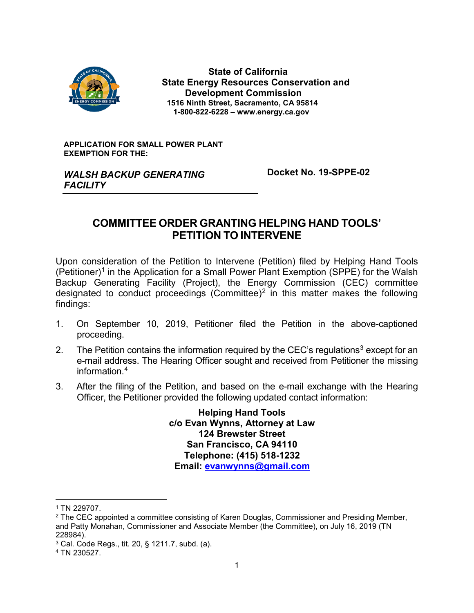

 **State of California State Energy Resources Conservation and Development Commission 1516 Ninth Street, Sacramento, CA 95814 1-800-822-6228 – www.energy.ca.gov**

**APPLICATION FOR SMALL POWER PLANT EXEMPTION FOR THE:**

*WALSH BACKUP GENERATING FACILITY*

**Docket No. 19-SPPE-02**

# **COMMITTEE ORDER GRANTING HELPING HAND TOOLS' PETITION TO INTERVENE**

Upon consideration of the Petition to Intervene (Petition) filed by Helping Hand Tools (Petitioner)<sup>[1](#page-1-0)</sup> in the Application for a Small Power Plant Exemption (SPPE) for the Walsh Backup Generating Facility (Project), the Energy Commission (CEC) committee designated to conduct proceedings (Committee)<sup>[2](#page-1-1)</sup> in this matter makes the following findings:

- 1. On September 10, 2019, Petitioner filed the Petition in the above-captioned proceeding.
- 2. The Petition contains the information required by the CEC's requlations<sup>3</sup> except for an e-mail address. The Hearing Officer sought and received from Petitioner the missing information.[4](#page-1-3)
- 3. After the filing of the Petition, and based on the e-mail exchange with the Hearing Officer, the Petitioner provided the following updated contact information:

**Helping Hand Tools c/o Evan Wynns, Attorney at Law 124 Brewster Street San Francisco, CA 94110 Telephone: (415) 518-1232 Email: [evanwynns@gmail.com](mailto:evanwynns@gmail.com)**

<span id="page-1-0"></span> <sup>1</sup> TN 229707.

<span id="page-1-1"></span><sup>&</sup>lt;sup>2</sup> The CEC appointed a committee consisting of Karen Douglas, Commissioner and Presiding Member, and Patty Monahan, Commissioner and Associate Member (the Committee), on July 16, 2019 (TN 228984).

<span id="page-1-2"></span><sup>3</sup> Cal. Code Regs., tit. 20, § 1211.7, subd. (a).

<span id="page-1-3"></span><sup>4</sup> TN 230527.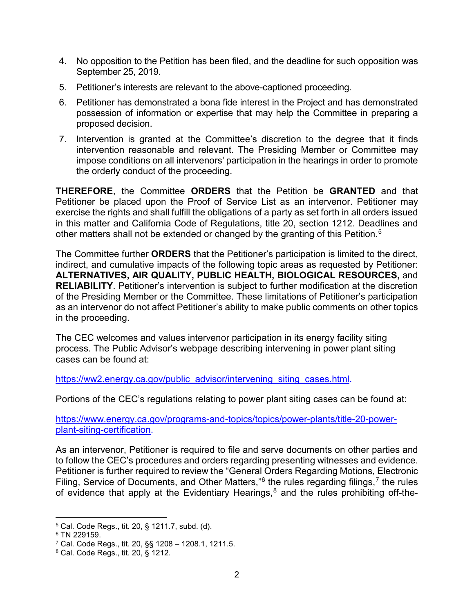- 4. No opposition to the Petition has been filed, and the deadline for such opposition was September 25, 2019.
- 5. Petitioner's interests are relevant to the above-captioned proceeding.
- 6. Petitioner has demonstrated a bona fide interest in the Project and has demonstrated possession of information or expertise that may help the Committee in preparing a proposed decision.
- 7. Intervention is granted at the Committee's discretion to the degree that it finds intervention reasonable and relevant. The Presiding Member or Committee may impose conditions on all intervenors' participation in the hearings in order to promote the orderly conduct of the proceeding.

**THEREFORE**, the Committee **ORDERS** that the Petition be **GRANTED** and that Petitioner be placed upon the Proof of Service List as an intervenor. Petitioner may exercise the rights and shall fulfill the obligations of a party as set forth in all orders issued in this matter and California Code of Regulations, title 20, section 1212. Deadlines and other matters shall not be extended or changed by the granting of this Petition.<sup>[5](#page-2-0)</sup>

The Committee further **ORDERS** that the Petitioner's participation is limited to the direct, indirect, and cumulative impacts of the following topic areas as requested by Petitioner: **ALTERNATIVES, AIR QUALITY, PUBLIC HEALTH, BIOLOGICAL RESOURCES,** and **RELIABILITY**. Petitioner's intervention is subject to further modification at the discretion of the Presiding Member or the Committee. These limitations of Petitioner's participation as an intervenor do not affect Petitioner's ability to make public comments on other topics in the proceeding.

The CEC welcomes and values intervenor participation in its energy facility siting process. The Public Advisor's webpage describing intervening in power plant siting cases can be found at:

[https://ww2.energy.ca.gov/public\\_advisor/intervening\\_siting\\_cases.html.](https://ww2.energy.ca.gov/public_advisor/intervening_siting_cases.html)

Portions of the CEC's regulations relating to power plant siting cases can be found at:

[https://www.energy.ca.gov/programs-and-topics/topics/power-plants/title-20-power](https://www.energy.ca.gov/programs-and-topics/topics/power-plants/title-20-power-plant-siting-certification)[plant-siting-certification.](https://www.energy.ca.gov/programs-and-topics/topics/power-plants/title-20-power-plant-siting-certification)

As an intervenor, Petitioner is required to file and serve documents on other parties and to follow the CEC's procedures and orders regarding presenting witnesses and evidence. Petitioner is further required to review the "General Orders Regarding Motions, Electronic Filing, Service of Documents, and Other Matters,  $6$  the rules regarding filings,  $7$  the rules of evidence that apply at the Evidentiary Hearings, $8$  and the rules prohibiting off-the-

<span id="page-2-0"></span> <sup>5</sup> Cal. Code Regs., tit. 20, § 1211.7, subd. (d).

<span id="page-2-1"></span><sup>6</sup> TN 229159.

<span id="page-2-2"></span><sup>7</sup> Cal. Code Regs., tit. 20, §§ 1208 – 1208.1, 1211.5.

<span id="page-2-3"></span><sup>8</sup> Cal. Code Regs., tit. 20, § 1212.